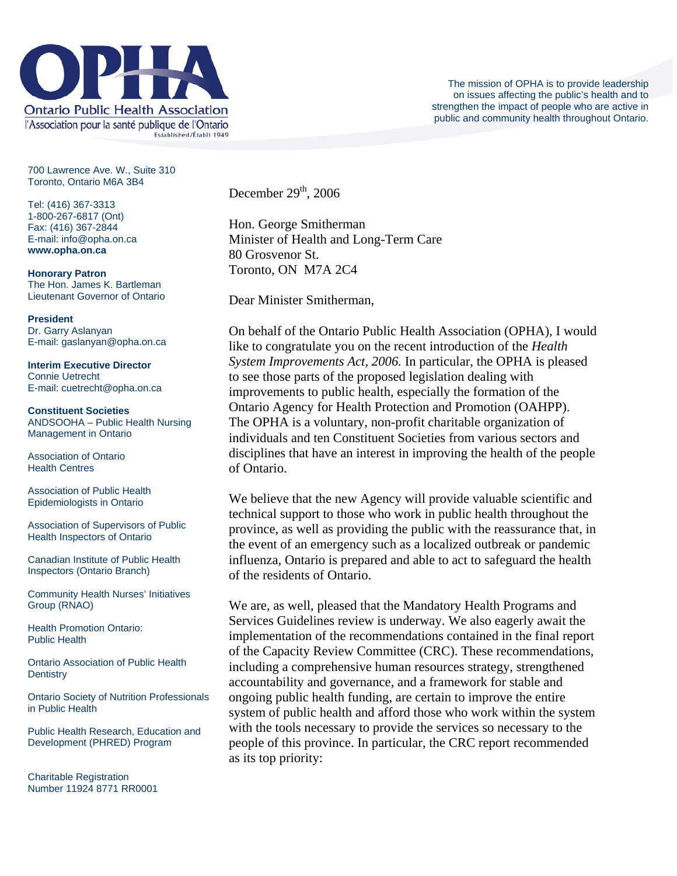

700 Lawrence Ave. W., Suite 310 Toronto, Ontario M6A 3B4

Tel: (416) 367-3313 1-800-267-6817 (Ont) Fax: (416) 367-2844 E-mail: info@opha.on.ca **www.opha.on.ca** 

**Honorary Patron**  The Hon. James K. Bartleman Lieutenant Governor of Ontario

**President**  Dr. Garry Aslanyan E-mail: gaslanyan@opha.on.ca

**Interim Executive Director**  Connie Uetrecht E-mail: cuetrecht@opha.on.ca

**Constituent Societies**  ANDSOOHA – Public Health Nursing Management in Ontario

Association of Ontario Health Centres

Association of Public Health Epidemiologists in Ontario

Association of Supervisors of Public Health Inspectors of Ontario

Canadian Institute of Public Health Inspectors (Ontario Branch)

Community Health Nurses' Initiatives Group (RNAO)

Health Promotion Ontario: Public Health

Ontario Association of Public Health **Dentistry** 

Ontario Society of Nutrition Professionals in Public Health

Public Health Research, Education and Development (PHRED) Program

Charitable Registration Number 11924 8771 RR0001 December  $29<sup>th</sup>$ , 2006

Hon. George Smitherman Minister of Health and Long-Term Care 80 Grosvenor St. Toronto, ON M7A 2C4

Dear Minister Smitherman,

On behalf of the Ontario Public Health Association (OPHA), I would like to congratulate you on the recent introduction of the *Health System Improvements Act, 2006.* In particular, the OPHA is pleased to see those parts of the proposed legislation dealing with improvements to public health, especially the formation of the Ontario Agency for Health Protection and Promotion (OAHPP). The OPHA is a voluntary, non-profit charitable organization of individuals and ten Constituent Societies from various sectors and disciplines that have an interest in improving the health of the people of Ontario.

We believe that the new Agency will provide valuable scientific and technical support to those who work in public health throughout the province, as well as providing the public with the reassurance that, in the event of an emergency such as a localized outbreak or pandemic influenza, Ontario is prepared and able to act to safeguard the health of the residents of Ontario.

We are, as well, pleased that the Mandatory Health Programs and Services Guidelines review is underway. We also eagerly await the implementation of the recommendations contained in the final report of the Capacity Review Committee (CRC). These recommendations, including a comprehensive human resources strategy, strengthened accountability and governance, and a framework for stable and ongoing public health funding, are certain to improve the entire system of public health and afford those who work within the system with the tools necessary to provide the services so necessary to the people of this province. In particular, the CRC report recommended as its top priority: